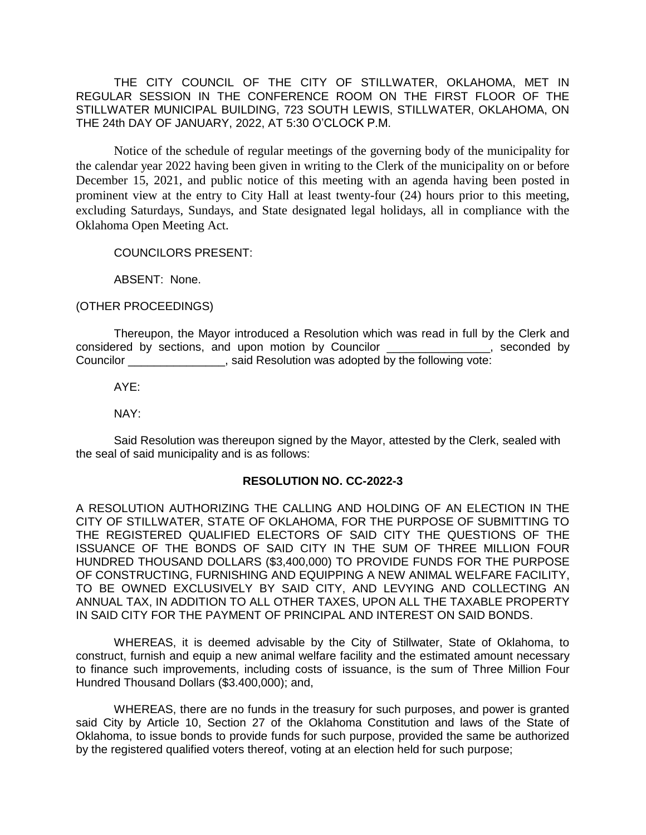THE CITY COUNCIL OF THE CITY OF STILLWATER, OKLAHOMA, MET IN REGULAR SESSION IN THE CONFERENCE ROOM ON THE FIRST FLOOR OF THE STILLWATER MUNICIPAL BUILDING, 723 SOUTH LEWIS, STILLWATER, OKLAHOMA, ON THE 24th DAY OF JANUARY, 2022, AT 5:30 O'CLOCK P.M.

Notice of the schedule of regular meetings of the governing body of the municipality for the calendar year 2022 having been given in writing to the Clerk of the municipality on or before December 15, 2021, and public notice of this meeting with an agenda having been posted in prominent view at the entry to City Hall at least twenty-four (24) hours prior to this meeting, excluding Saturdays, Sundays, and State designated legal holidays, all in compliance with the Oklahoma Open Meeting Act.

COUNCILORS PRESENT:

ABSENT: None.

(OTHER PROCEEDINGS)

Thereupon, the Mayor introduced a Resolution which was read in full by the Clerk and considered by sections, and upon motion by Councilor \_\_\_\_\_\_\_\_\_\_\_\_\_\_\_\_, seconded by Councilor \_\_\_\_\_\_\_\_\_\_\_\_\_\_\_, said Resolution was adopted by the following vote:

AYE:

NAY:

Said Resolution was thereupon signed by the Mayor, attested by the Clerk, sealed with the seal of said municipality and is as follows:

## **RESOLUTION NO. CC-2022-3**

A RESOLUTION AUTHORIZING THE CALLING AND HOLDING OF AN ELECTION IN THE CITY OF STILLWATER, STATE OF OKLAHOMA, FOR THE PURPOSE OF SUBMITTING TO THE REGISTERED QUALIFIED ELECTORS OF SAID CITY THE QUESTIONS OF THE ISSUANCE OF THE BONDS OF SAID CITY IN THE SUM OF THREE MILLION FOUR HUNDRED THOUSAND DOLLARS (\$3,400,000) TO PROVIDE FUNDS FOR THE PURPOSE OF CONSTRUCTING, FURNISHING AND EQUIPPING A NEW ANIMAL WELFARE FACILITY, TO BE OWNED EXCLUSIVELY BY SAID CITY, AND LEVYING AND COLLECTING AN ANNUAL TAX, IN ADDITION TO ALL OTHER TAXES, UPON ALL THE TAXABLE PROPERTY IN SAID CITY FOR THE PAYMENT OF PRINCIPAL AND INTEREST ON SAID BONDS.

WHEREAS, it is deemed advisable by the City of Stillwater, State of Oklahoma, to construct, furnish and equip a new animal welfare facility and the estimated amount necessary to finance such improvements, including costs of issuance, is the sum of Three Million Four Hundred Thousand Dollars (\$3.400,000); and,

WHEREAS, there are no funds in the treasury for such purposes, and power is granted said City by Article 10, Section 27 of the Oklahoma Constitution and laws of the State of Oklahoma, to issue bonds to provide funds for such purpose, provided the same be authorized by the registered qualified voters thereof, voting at an election held for such purpose;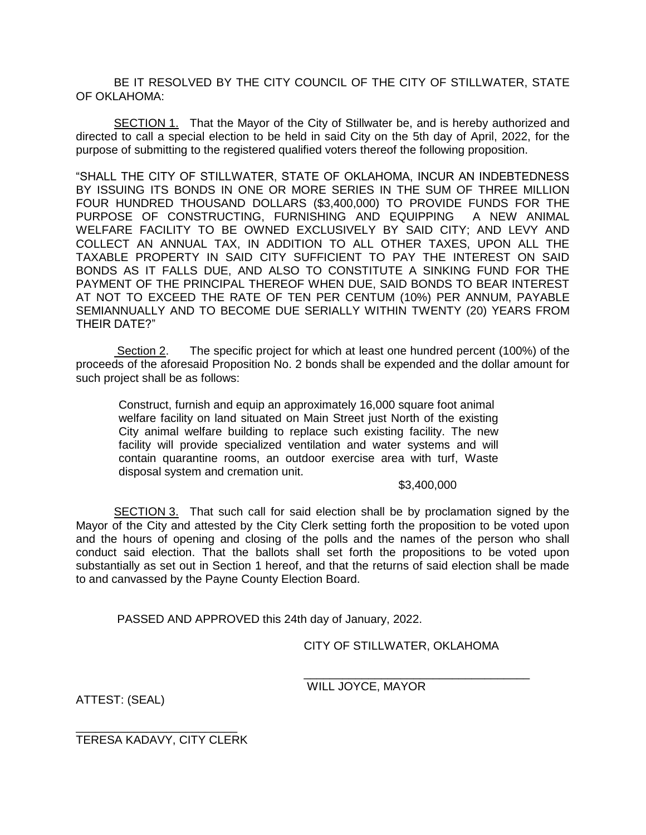BE IT RESOLVED BY THE CITY COUNCIL OF THE CITY OF STILLWATER, STATE OF OKLAHOMA:

SECTION 1. That the Mayor of the City of Stillwater be, and is hereby authorized and directed to call a special election to be held in said City on the 5th day of April, 2022, for the purpose of submitting to the registered qualified voters thereof the following proposition.

"SHALL THE CITY OF STILLWATER, STATE OF OKLAHOMA, INCUR AN INDEBTEDNESS BY ISSUING ITS BONDS IN ONE OR MORE SERIES IN THE SUM OF THREE MILLION FOUR HUNDRED THOUSAND DOLLARS (\$3,400,000) TO PROVIDE FUNDS FOR THE PURPOSE OF CONSTRUCTING, FURNISHING AND EQUIPPING A NEW ANIMAL WELFARE FACILITY TO BE OWNED EXCLUSIVELY BY SAID CITY; AND LEVY AND COLLECT AN ANNUAL TAX, IN ADDITION TO ALL OTHER TAXES, UPON ALL THE TAXABLE PROPERTY IN SAID CITY SUFFICIENT TO PAY THE INTEREST ON SAID BONDS AS IT FALLS DUE, AND ALSO TO CONSTITUTE A SINKING FUND FOR THE PAYMENT OF THE PRINCIPAL THEREOF WHEN DUE, SAID BONDS TO BEAR INTEREST AT NOT TO EXCEED THE RATE OF TEN PER CENTUM (10%) PER ANNUM, PAYABLE SEMIANNUALLY AND TO BECOME DUE SERIALLY WITHIN TWENTY (20) YEARS FROM THEIR DATE?"

Section 2. The specific project for which at least one hundred percent (100%) of the proceeds of the aforesaid Proposition No. 2 bonds shall be expended and the dollar amount for such project shall be as follows:

Construct, furnish and equip an approximately 16,000 square foot animal welfare facility on land situated on Main Street just North of the existing City animal welfare building to replace such existing facility. The new facility will provide specialized ventilation and water systems and will contain quarantine rooms, an outdoor exercise area with turf, Waste disposal system and cremation unit.

## \$3,400,000

SECTION 3. That such call for said election shall be by proclamation signed by the Mayor of the City and attested by the City Clerk setting forth the proposition to be voted upon and the hours of opening and closing of the polls and the names of the person who shall conduct said election. That the ballots shall set forth the propositions to be voted upon substantially as set out in Section 1 hereof, and that the returns of said election shall be made to and canvassed by the Payne County Election Board.

PASSED AND APPROVED this 24th day of January, 2022.

CITY OF STILLWATER, OKLAHOMA

\_\_\_\_\_\_\_\_\_\_\_\_\_\_\_\_\_\_\_\_\_\_\_\_\_\_\_\_\_\_\_\_\_\_\_

WILL JOYCE, MAYOR

ATTEST: (SEAL)

\_\_\_\_\_\_\_\_\_\_\_\_\_\_\_\_\_\_\_\_\_\_\_\_\_ TERESA KADAVY, CITY CLERK